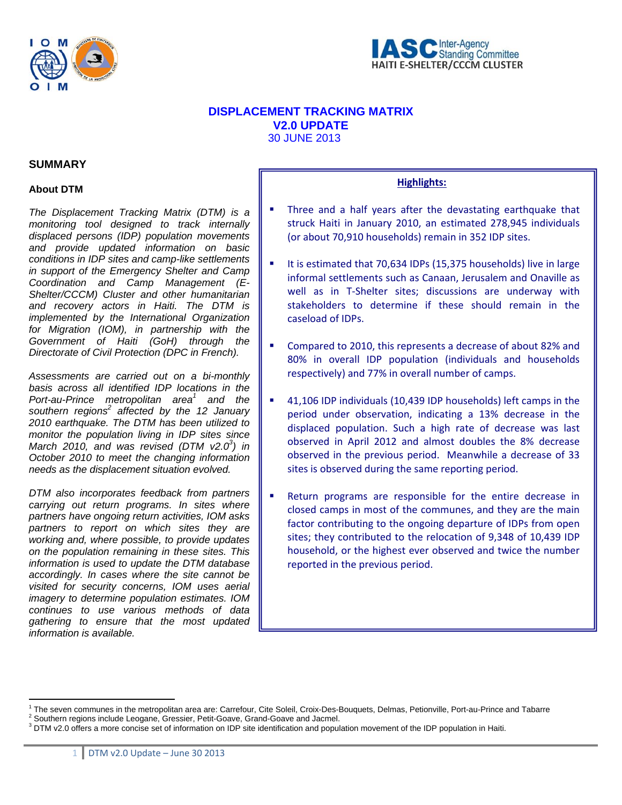



# **DISPLACEMENT TRACKING MATRIX V2.0 UPDATE**  30 JUNE 2013

## **Highlights:**

- **Three and a half years after the devastating earthquake that** struck Haiti in January 2010, an estimated 278,945 individuals (or about 70,910 households) remain in 352 IDP sites.
- It is estimated that 70,634 IDPs (15,375 households) live in large informal settlements such as Canaan, Jerusalem and Onaville as well as in T-Shelter sites; discussions are underway with stakeholders to determine if these should remain in the caseload of IDPs.
- Compared to 2010, this represents a decrease of about 82% and 80% in overall IDP population (individuals and households respectively) and 77% in overall number of camps.
- 41,106 IDP individuals (10,439 IDP households) left camps in the period under observation, indicating a 13% decrease in the displaced population. Such a high rate of decrease was last observed in April 2012 and almost doubles the 8% decrease observed in the previous period. Meanwhile a decrease of 33 sites is observed during the same reporting period.
- Return programs are responsible for the entire decrease in closed camps in most of the communes, and they are the main factor contributing to the ongoing departure of IDPs from open sites; they contributed to the relocation of 9,348 of 10,439 IDP household, or the highest ever observed and twice the number reported in the previous period.

# **SUMMARY**

## **About DTM**

 $\overline{a}$ 

*The Displacement Tracking Matrix (DTM) is a monitoring tool designed to track internally displaced persons (IDP) population movements and provide updated information on basic conditions in IDP sites and camp-like settlements in support of the Emergency Shelter and Camp Coordination and Camp Management (E-Shelter/CCCM) Cluster and other humanitarian and recovery actors in Haiti. The DTM is implemented by the International Organization for Migration (IOM), in partnership with the Government of Haiti (GoH) through the Directorate of Civil Protection (DPC in French).* 

*Assessments are carried out on a bi-monthly basis across all identified IDP locations in the*  Port-au-Prince metropolitan area<sup>1</sup> and the *southern regions2 affected by the 12 January 2010 earthquake. The DTM has been utilized to monitor the population living in IDP sites since March 2010, and was revised (DTM v2.0<sup>3</sup>) in October 2010 to meet the changing information needs as the displacement situation evolved.*

*DTM also incorporates feedback from partners carrying out return programs. In sites where partners have ongoing return activities, IOM asks partners to report on which sites they are working and, where possible, to provide updates on the population remaining in these sites. This information is used to update the DTM database accordingly. In cases where the site cannot be visited for security concerns, IOM uses aerial imagery to determine population estimates. IOM continues to use various methods of data gathering to ensure that the most updated information is available.* 

<sup>&</sup>lt;sup>1</sup> The seven communes in the metropolitan area are: Carrefour, Cite Soleil, Croix-Des-Bouquets, Delmas, Petionville, Port-au-Prince and Tabarre 2<br>2 Setthers regions include Leagues, Crossier, Detit Cooxe, Croad Cooxe and <sup>2</sup> Southern regions include Leogane, Gressier, Petit-Goave, Grand-Goave and Jacmel.

 $3$  DTM v2.0 offers a more concise set of information on IDP site identification and population movement of the IDP population in Haiti.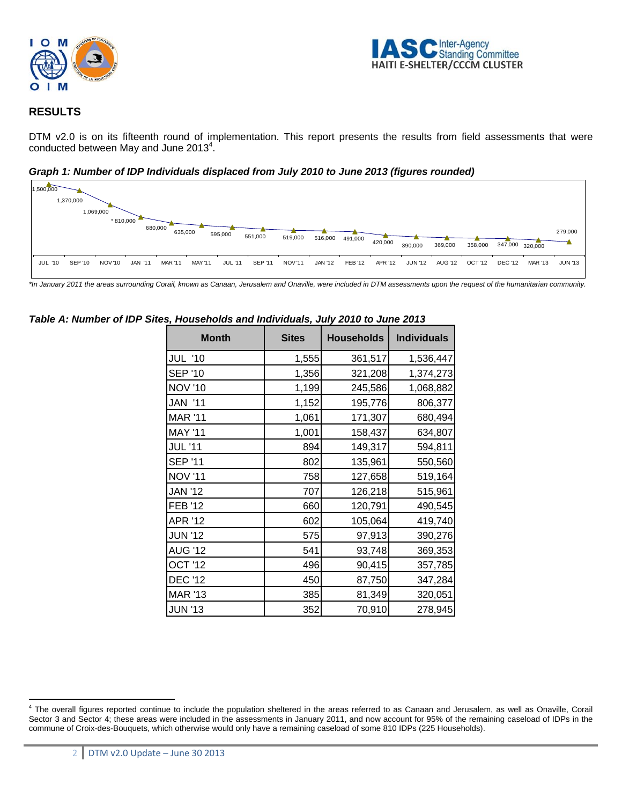



# **RESULTS**

DTM v2.0 is on its fifteenth round of implementation. This report presents the results from field assessments that were conducted between May and June 2013 $^4$ .

*Graph 1: Number of IDP Individuals displaced from July 2010 to June 2013 (figures rounded)* 



*\*In January 2011 the areas surrounding Corail, known as Canaan, Jerusalem and Onaville, were included in DTM assessments upon the request of the humanitarian community.* 

| <b>Month</b>   | <b>Sites</b> | <b>Households</b> | <b>Individuals</b> |
|----------------|--------------|-------------------|--------------------|
| <b>JUL '10</b> | 1,555        | 361,517           | 1,536,447          |
| <b>SEP '10</b> | 1,356        | 321,208           | 1,374,273          |
| <b>NOV '10</b> | 1,199        | 245,586           | 1,068,882          |
| <b>JAN '11</b> | 1,152        | 195,776           | 806,377            |
| <b>MAR '11</b> | 1,061        | 171,307           | 680,494            |
| <b>MAY '11</b> | 1,001        | 158,437           | 634,807            |
| <b>JUL '11</b> | 894          | 149,317           | 594,811            |
| <b>SEP '11</b> | 802          | 135,961           | 550,560            |
| <b>NOV '11</b> | 758          | 127,658           | 519,164            |
| <b>JAN '12</b> | 707          | 126,218           | 515,961            |
| <b>FEB '12</b> | 660          | 120,791           | 490,545            |
| <b>APR '12</b> | 602          | 105,064           | 419,740            |
| <b>JUN '12</b> | 575          | 97,913            | 390,276            |
| <b>AUG '12</b> | 541          | 93,748            | 369,353            |
| <b>OCT '12</b> | 496          | 90,415            | 357,785            |
| <b>DEC '12</b> | 450          | 87,750            | 347,284            |
| <b>MAR '13</b> | 385          | 81,349            | 320,051            |
| <b>JUN '13</b> | 352          | 70,910            | 278,945            |

# *Table A: Number of IDP Sites, Households and Individuals, July 2010 to June 2013*

 4 The overall figures reported continue to include the population sheltered in the areas referred to as Canaan and Jerusalem, as well as Onaville, Corail Sector 3 and Sector 4; these areas were included in the assessments in January 2011, and now account for 95% of the remaining caseload of IDPs in the commune of Croix-des-Bouquets, which otherwise would only have a remaining caseload of some 810 IDPs (225 Households).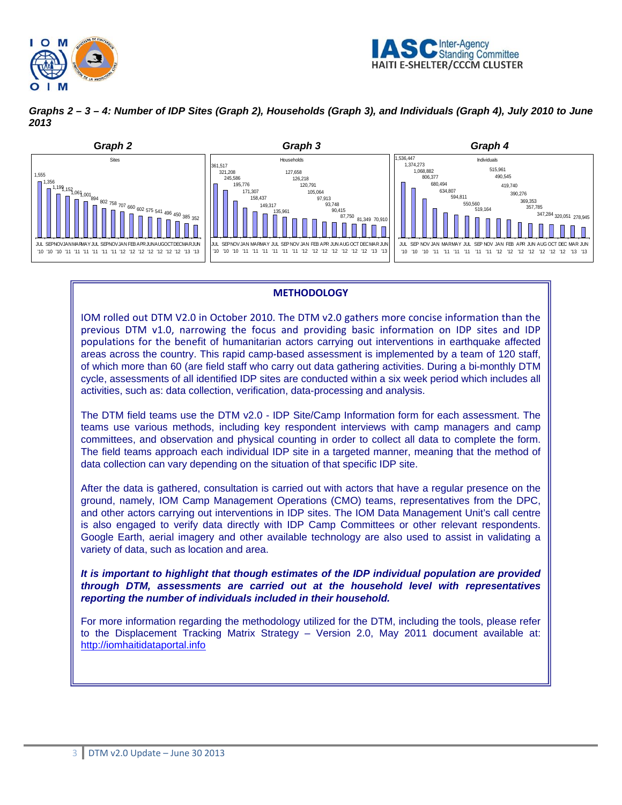



*Graphs 2 – 3 – 4: Number of IDP Sites (Graph 2), Households (Graph 3), and Individuals (Graph 4), July 2010 to June 2013* 



### **METHODOLOGY**

IOM rolled out DTM V2.0 in October 2010. The DTM v2.0 gathers more concise information than the previous DTM v1.0, narrowing the focus and providing basic information on IDP sites and IDP populations for the benefit of humanitarian actors carrying out interventions in earthquake affected areas across the country. This rapid camp-based assessment is implemented by a team of 120 staff, of which more than 60 (are field staff who carry out data gathering activities. During a bi-monthly DTM cycle, assessments of all identified IDP sites are conducted within a six week period which includes all activities, such as: data collection, verification, data-processing and analysis.

The DTM field teams use the DTM v2.0 - IDP Site/Camp Information form for each assessment. The teams use various methods, including key respondent interviews with camp managers and camp committees, and observation and physical counting in order to collect all data to complete the form. The field teams approach each individual IDP site in a targeted manner, meaning that the method of data collection can vary depending on the situation of that specific IDP site.

After the data is gathered, consultation is carried out with actors that have a regular presence on the ground, namely, IOM Camp Management Operations (CMO) teams, representatives from the DPC, and other actors carrying out interventions in IDP sites. The IOM Data Management Unit's call centre is also engaged to verify data directly with IDP Camp Committees or other relevant respondents. Google Earth, aerial imagery and other available technology are also used to assist in validating a variety of data, such as location and area.

*It is important to highlight that though estimates of the IDP individual population are provided through DTM, assessments are carried out at the household level with representatives reporting the number of individuals included in their household.* 

For more information regarding the methodology utilized for the DTM, including the tools, please refer to the Displacement Tracking Matrix Strategy – Version 2.0, May 2011 document available at: http://iomhaitidataportal.info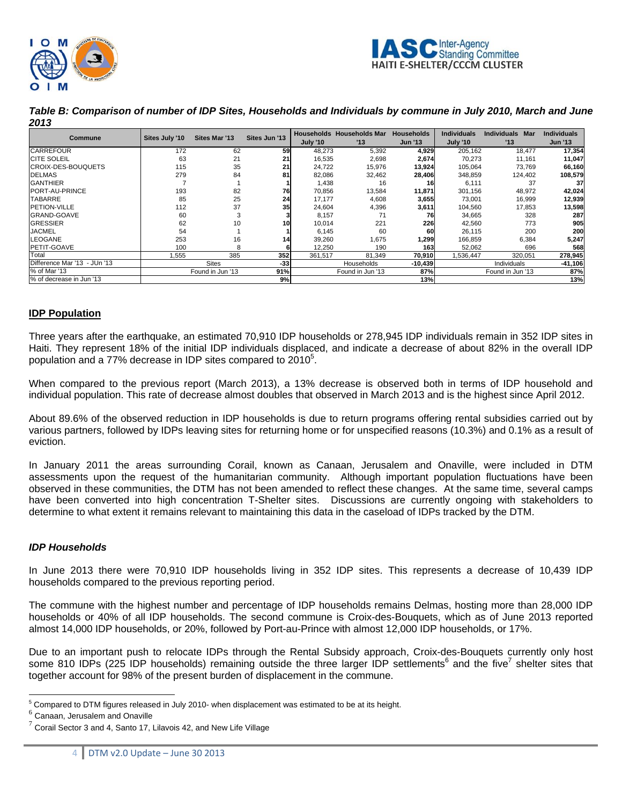



*Table B: Comparison of number of IDP Sites, Households and Individuals by commune in July 2010, March and June 2013* 

| <b>Commune</b>               | Sites July '10 | Sites Mar '13    | Sites Jun '13   | <b>July '10</b> | Households Households Mar<br>'13 | <b>Households</b><br><b>Jun '13</b> | <b>Individuals</b><br>July '10 | <b>Individuals</b><br>Mar<br>'13 | <b>Individuals</b><br><b>Jun '13</b> |
|------------------------------|----------------|------------------|-----------------|-----------------|----------------------------------|-------------------------------------|--------------------------------|----------------------------------|--------------------------------------|
| <b>CARREFOUR</b>             | 172            | 62               | 59              | 48,273          | 5,392                            | 4,929                               | 205,162                        | 18,477                           | 17,354                               |
| <b>CITE SOLEIL</b>           | 63             | 21               | 21              | 16,535          | 2,698                            | 2,674                               | 70,273                         | 11,161                           | 11,047                               |
| CROIX-DES-BOUQUETS           | 115            | 35               | 21 <sub>1</sub> | 24,722          | 15,976                           | 13,924                              | 105,064                        | 73,769                           | 66,160                               |
| <b>DELMAS</b>                | 279            | 84               | 81              | 82,086          | 32,462                           | 28,406                              | 348,859                        | 124,402                          | 108,579                              |
| <b>GANTHIER</b>              |                |                  |                 | 1,438           | 16                               | 16                                  | 6,111                          | 37                               | 37                                   |
| <b>IPORT-AU-PRINCE</b>       | 193            | 82               | 76              | 70,856          | 13,584                           | 11,871                              | 301,156                        | 48,972                           | 42,024                               |
| <b>TABARRE</b>               | 85             | 25               | 24              | 17,177          | 4,608                            | 3,655                               | 73,001                         | 16,999                           | 12,939                               |
| <b>PETION-VILLE</b>          | 112            | 37               | 35              | 24,604          | 4,396                            | 3,611                               | 104,560                        | 17,853                           | 13,598                               |
| <b>GRAND-GOAVE</b>           | 60             | 3                |                 | 8,157           | 71                               | 76                                  | 34,665                         | 328                              | 287                                  |
| <b>GRESSIER</b>              | 62             | 10               | 10              | 10.014          | 221                              | 226                                 | 42,560                         | 773                              | 905                                  |
| <b>JACMEL</b>                | 54             |                  |                 | 6.145           | 60                               | 60                                  | 26,115                         | 200                              | 200                                  |
| <b>LEOGANE</b>               | 253            | 16               | 14              | 39,260          | 1,675                            | 1,299                               | 166,859                        | 6,384                            | 5,247                                |
| PETIT-GOAVE                  | 100            | 8                |                 | 12,250          | 190                              | 163                                 | 52,062                         | 696                              | 568                                  |
| Total                        | ,555           | 385              | 352             | 361,517         | 81,349                           | 70,910                              | 1,536,447                      | 320,051                          | 278,945                              |
| Difference Mar '13 - JUn '13 |                | <b>Sites</b>     | $-33$           |                 | Households                       | $-10,439$                           |                                | <b>Individuals</b>               |                                      |
| % of Mar '13                 |                | Found in Jun '13 | 91%             |                 | Found in Jun '13                 | 87%                                 |                                | Found in Jun '13                 | 87%                                  |
| % of decrease in Jun '13     |                |                  | 9%              |                 |                                  | 13%                                 |                                |                                  | 13%                                  |

# **IDP Population**

Three years after the earthquake, an estimated 70,910 IDP households or 278,945 IDP individuals remain in 352 IDP sites in Haiti. They represent 18% of the initial IDP individuals displaced, and indicate a decrease of about 82% in the overall IDP population and a 77% decrease in IDP sites compared to  $2010^5$ .

When compared to the previous report (March 2013), a 13% decrease is observed both in terms of IDP household and individual population. This rate of decrease almost doubles that observed in March 2013 and is the highest since April 2012.

About 89.6% of the observed reduction in IDP households is due to return programs offering rental subsidies carried out by various partners, followed by IDPs leaving sites for returning home or for unspecified reasons (10.3%) and 0.1% as a result of eviction.

In January 2011 the areas surrounding Corail, known as Canaan, Jerusalem and Onaville, were included in DTM assessments upon the request of the humanitarian community. Although important population fluctuations have been observed in these communities, the DTM has not been amended to reflect these changes. At the same time, several camps have been converted into high concentration T-Shelter sites. Discussions are currently ongoing with stakeholders to determine to what extent it remains relevant to maintaining this data in the caseload of IDPs tracked by the DTM.

### *IDP Households*

In June 2013 there were 70,910 IDP households living in 352 IDP sites. This represents a decrease of 10,439 IDP households compared to the previous reporting period.

The commune with the highest number and percentage of IDP households remains Delmas, hosting more than 28,000 IDP households or 40% of all IDP households. The second commune is Croix-des-Bouquets, which as of June 2013 reported almost 14,000 IDP households, or 20%, followed by Port-au-Prince with almost 12,000 IDP households, or 17%.

Due to an important push to relocate IDPs through the Rental Subsidy approach, Croix-des-Bouquets currently only host some 810 IDPs (225 IDP households) remaining outside the three larger IDP settlements<sup>6</sup> and the five<sup>7</sup> shelter sites that together account for 98% of the present burden of displacement in the commune.

<sup>&</sup>lt;sup>5</sup> Compared to DTM figures released in July 2010- when displacement was estimated to be at its height.<br><sup>6</sup> Canaan, Jerusalem and Onaville

 $7$  Corail Sector 3 and 4, Santo 17, Lilavois 42, and New Life Village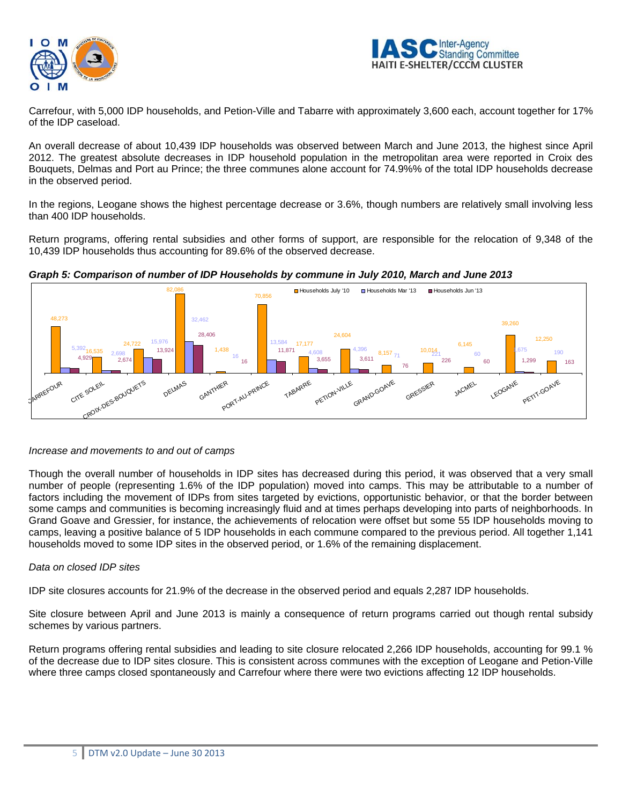



Carrefour, with 5,000 IDP households, and Petion-Ville and Tabarre with approximately 3,600 each, account together for 17% of the IDP caseload.

An overall decrease of about 10,439 IDP households was observed between March and June 2013, the highest since April 2012. The greatest absolute decreases in IDP household population in the metropolitan area were reported in Croix des Bouquets, Delmas and Port au Prince; the three communes alone account for 74.9%% of the total IDP households decrease in the observed period.

In the regions, Leogane shows the highest percentage decrease or 3.6%, though numbers are relatively small involving less than 400 IDP households.

Return programs, offering rental subsidies and other forms of support, are responsible for the relocation of 9,348 of the 10,439 IDP households thus accounting for 89.6% of the observed decrease.



*Graph 5: Comparison of number of IDP Households by commune in July 2010, March and June 2013* 

# *Increase and movements to and out of camps*

Though the overall number of households in IDP sites has decreased during this period, it was observed that a very small number of people (representing 1.6% of the IDP population) moved into camps. This may be attributable to a number of factors including the movement of IDPs from sites targeted by evictions, opportunistic behavior, or that the border between some camps and communities is becoming increasingly fluid and at times perhaps developing into parts of neighborhoods. In Grand Goave and Gressier, for instance, the achievements of relocation were offset but some 55 IDP households moving to camps, leaving a positive balance of 5 IDP households in each commune compared to the previous period. All together 1,141 households moved to some IDP sites in the observed period, or 1.6% of the remaining displacement.

# *Data on closed IDP sites*

IDP site closures accounts for 21.9% of the decrease in the observed period and equals 2,287 IDP households.

Site closure between April and June 2013 is mainly a consequence of return programs carried out though rental subsidy schemes by various partners.

Return programs offering rental subsidies and leading to site closure relocated 2,266 IDP households, accounting for 99.1 % of the decrease due to IDP sites closure. This is consistent across communes with the exception of Leogane and Petion-Ville where three camps closed spontaneously and Carrefour where there were two evictions affecting 12 IDP households.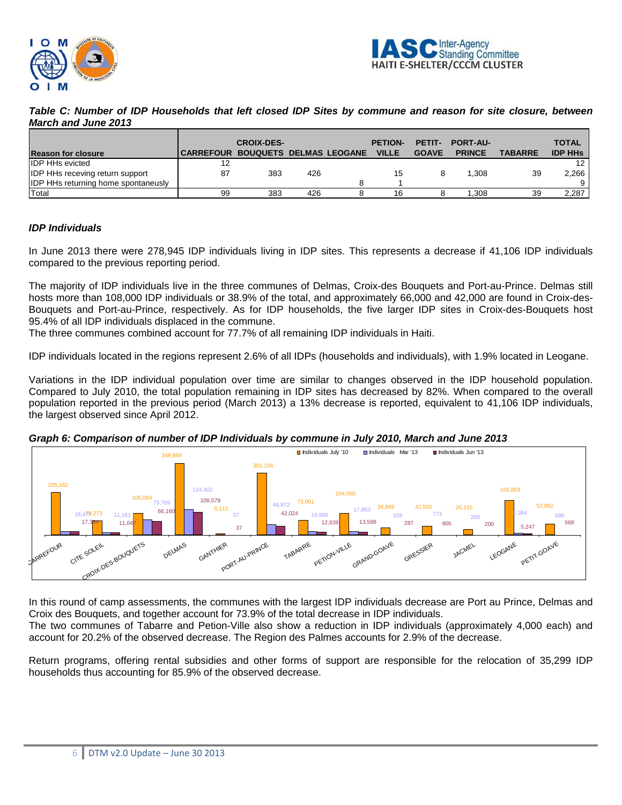

*Table C: Number of IDP Households that left closed IDP Sites by commune and reason for site closure, between March and June 2013* 

|                                            |                   | <b>CROIX-DES-</b>              |     | <b>PETION-</b> | PETIT-       | <b>PORT-AU-</b> |                | TOTAL           |
|--------------------------------------------|-------------------|--------------------------------|-----|----------------|--------------|-----------------|----------------|-----------------|
| <b>Reason for closure</b>                  | <b>ICARREFOUR</b> | <b>BOUQUETS DELMAS LEOGANE</b> |     | <b>VILLE</b>   | <b>GOAVE</b> | <b>PRINCE</b>   | <b>TABARRE</b> | <b>IDP HHS</b>  |
| <b>IDP HHs evicted</b>                     | 12                |                                |     |                |              |                 |                | 12 <sup>2</sup> |
| IDP HHs receving return support            | 87                | 383                            | 426 | 15             |              | 1.308           | 39             | 2.266           |
| <b>IDP HHs returning home spontaneusly</b> |                   |                                |     |                |              |                 |                |                 |
| Total                                      | 99                | 383                            | 426 | 16             |              | .308            | 39             | 2.287           |

# *IDP Individuals*

In June 2013 there were 278,945 IDP individuals living in IDP sites. This represents a decrease if 41,106 IDP individuals compared to the previous reporting period.

The majority of IDP individuals live in the three communes of Delmas, Croix-des Bouquets and Port-au-Prince. Delmas still hosts more than 108,000 IDP individuals or 38.9% of the total, and approximately 66,000 and 42,000 are found in Croix-des-Bouquets and Port-au-Prince, respectively. As for IDP households, the five larger IDP sites in Croix-des-Bouquets host 95.4% of all IDP individuals displaced in the commune.

The three communes combined account for 77.7% of all remaining IDP individuals in Haiti.

IDP individuals located in the regions represent 2.6% of all IDPs (households and individuals), with 1.9% located in Leogane.

Variations in the IDP individual population over time are similar to changes observed in the IDP household population. Compared to July 2010, the total population remaining in IDP sites has decreased by 82%. When compared to the overall population reported in the previous period (March 2013) a 13% decrease is reported, equivalent to 41,106 IDP individuals, the largest observed since April 2012.

*Graph 6: Comparison of number of IDP Individuals by commune in July 2010, March and June 2013* 



In this round of camp assessments, the communes with the largest IDP individuals decrease are Port au Prince, Delmas and Croix des Bouquets, and together account for 73.9% of the total decrease in IDP individuals.

The two communes of Tabarre and Petion-Ville also show a reduction in IDP individuals (approximately 4,000 each) and account for 20.2% of the observed decrease. The Region des Palmes accounts for 2.9% of the decrease.

Return programs, offering rental subsidies and other forms of support are responsible for the relocation of 35,299 IDP households thus accounting for 85.9% of the observed decrease.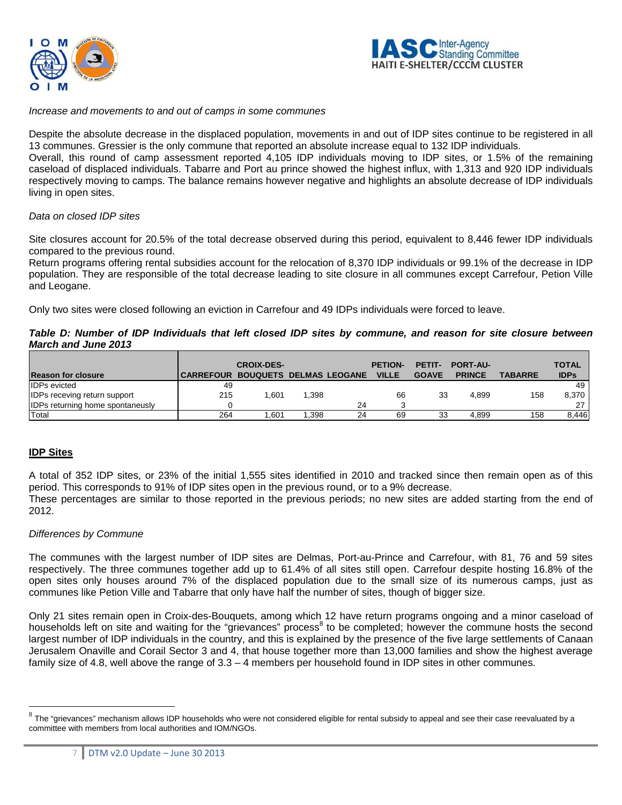



### *Increase and movements to and out of camps in some communes*

Despite the absolute decrease in the displaced population, movements in and out of IDP sites continue to be registered in all 13 communes. Gressier is the only commune that reported an absolute increase equal to 132 IDP individuals.

Overall, this round of camp assessment reported 4,105 IDP individuals moving to IDP sites, or 1.5% of the remaining caseload of displaced individuals. Tabarre and Port au prince showed the highest influx, with 1,313 and 920 IDP individuals respectively moving to camps. The balance remains however negative and highlights an absolute decrease of IDP individuals living in open sites.

### *Data on closed IDP sites*

Site closures account for 20.5% of the total decrease observed during this period, equivalent to 8,446 fewer IDP individuals compared to the previous round.

Return programs offering rental subsidies account for the relocation of 8,370 IDP individuals or 99.1% of the decrease in IDP population. They are responsible of the total decrease leading to site closure in all communes except Carrefour, Petion Ville and Leogane.

Only two sites were closed following an eviction in Carrefour and 49 IDPs individuals were forced to leave.

### *Table D: Number of IDP Individuals that left closed IDP sites by commune, and reason for site closure between March and June 2013*

| <b>Reason for closure</b>               | <b>ICARREFOUR</b> | <b>CROIX-DES-</b><br><b>BOUQUETS DELMAS LEOGANE</b> |        |    | <b>PETION-</b><br><b>VILLE</b> | <b>PETIT-</b><br><b>GOAVE</b> | <b>PORT-AU-</b><br><b>PRINCE</b> | <b>TABARRE</b> | <b>TOTAL</b><br><b>IDPs</b> |
|-----------------------------------------|-------------------|-----------------------------------------------------|--------|----|--------------------------------|-------------------------------|----------------------------------|----------------|-----------------------------|
| <b>IDPs</b> evicted                     | 49                |                                                     |        |    |                                |                               |                                  |                | 49                          |
| IDPs receving return support            | 215               | .601                                                | 398. ا |    | 66                             | 33                            | 4.899                            | 158            | 8.370                       |
| <b>IDPs returning home spontaneusly</b> |                   |                                                     |        | 24 |                                |                               |                                  |                |                             |
| Total                                   | 264               | .601                                                | .398   | 24 | 69                             | 33                            | 4.899                            | 158            | 8.446                       |

# **IDP Sites**

 $\overline{a}$ 

A total of 352 IDP sites, or 23% of the initial 1,555 sites identified in 2010 and tracked since then remain open as of this period. This corresponds to 91% of IDP sites open in the previous round, or to a 9% decrease.

These percentages are similar to those reported in the previous periods; no new sites are added starting from the end of 2012.

### *Differences by Commune*

The communes with the largest number of IDP sites are Delmas, Port-au-Prince and Carrefour, with 81, 76 and 59 sites respectively. The three communes together add up to 61.4% of all sites still open. Carrefour despite hosting 16.8% of the open sites only houses around 7% of the displaced population due to the small size of its numerous camps, just as communes like Petion Ville and Tabarre that only have half the number of sites, though of bigger size.

Only 21 sites remain open in Croix-des-Bouquets, among which 12 have return programs ongoing and a minor caseload of households left on site and waiting for the "grievances" process<sup>8</sup> to be completed; however the commune hosts the second largest number of IDP individuals in the country, and this is explained by the presence of the five large settlements of Canaan Jerusalem Onaville and Corail Sector 3 and 4, that house together more than 13,000 families and show the highest average family size of 4.8, well above the range of 3.3 – 4 members per household found in IDP sites in other communes.

 $^8$  The "grievances" mechanism allows IDP households who were not considered eligible for rental subsidy to appeal and see their case reevaluated by a committee with members from local authorities and IOM/NGOs.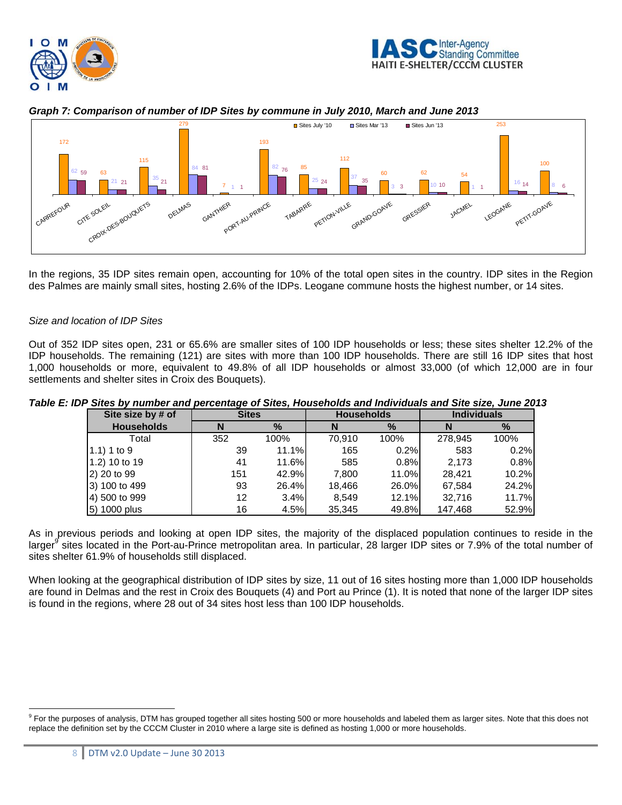



*Graph 7: Comparison of number of IDP Sites by commune in July 2010, March and June 2013* 



In the regions, 35 IDP sites remain open, accounting for 10% of the total open sites in the country. IDP sites in the Region des Palmes are mainly small sites, hosting 2.6% of the IDPs. Leogane commune hosts the highest number, or 14 sites.

# *Size and location of IDP Sites*

Out of 352 IDP sites open, 231 or 65.6% are smaller sites of 100 IDP households or less; these sites shelter 12.2% of the IDP households. The remaining (121) are sites with more than 100 IDP households. There are still 16 IDP sites that host 1,000 households or more, equivalent to 49.8% of all IDP households or almost 33,000 (of which 12,000 are in four settlements and shelter sites in Croix des Bouquets).

| $\sim$            |              |       |        |                   |                    |       |  |  |  |  |  |
|-------------------|--------------|-------|--------|-------------------|--------------------|-------|--|--|--|--|--|
| Site size by # of | <b>Sites</b> |       |        | <b>Households</b> | <b>Individuals</b> |       |  |  |  |  |  |
| <b>Households</b> | N            | %     | N      | %                 | N                  | $\%$  |  |  |  |  |  |
| Total             | 352          | 100%  | 70.910 | 100%              | 278.945            | 100%  |  |  |  |  |  |
| 1.1) 1 to 9       | 39           | 11.1% | 165    | 0.2%              | 583                | 0.2%  |  |  |  |  |  |
| 1.2) 10 to 19     | 41           | 11.6% | 585    | 0.8%              | 2.173              | 0.8%  |  |  |  |  |  |
| 2) 20 to 99       | 151          | 42.9% | 7.800  | 11.0%             | 28.421             | 10.2% |  |  |  |  |  |
| 3) 100 to 499     | 93           | 26.4% | 18.466 | 26.0%             | 67.584             | 24.2% |  |  |  |  |  |
| 4) 500 to 999     | 12           | 3.4%  | 8.549  | 12.1%             | 32.716             | 11.7% |  |  |  |  |  |
| 5) 1000 plus      | 16           | 4.5%  | 35,345 | 49.8%             | 147,468            | 52.9% |  |  |  |  |  |

## *Table E: IDP Sites by number and percentage of Sites, Households and Individuals and Site size, June 2013*

As in previous periods and looking at open IDP sites, the majority of the displaced population continues to reside in the larger<sup>9</sup> sites located in the Port-au-Prince metropolitan area. In particular, 28 larger IDP sites or 7.9% of the total number of sites shelter 61.9% of households still displaced.

When looking at the geographical distribution of IDP sites by size, 11 out of 16 sites hosting more than 1,000 IDP households are found in Delmas and the rest in Croix des Bouquets (4) and Port au Prince (1). It is noted that none of the larger IDP sites is found in the regions, where 28 out of 34 sites host less than 100 IDP households.

 $\overline{a}$ 

<sup>&</sup>lt;sup>9</sup> For the purposes of analysis, DTM has grouped together all sites hosting 500 or more households and labeled them as larger sites. Note that this does not replace the definition set by the CCCM Cluster in 2010 where a large site is defined as hosting 1,000 or more households.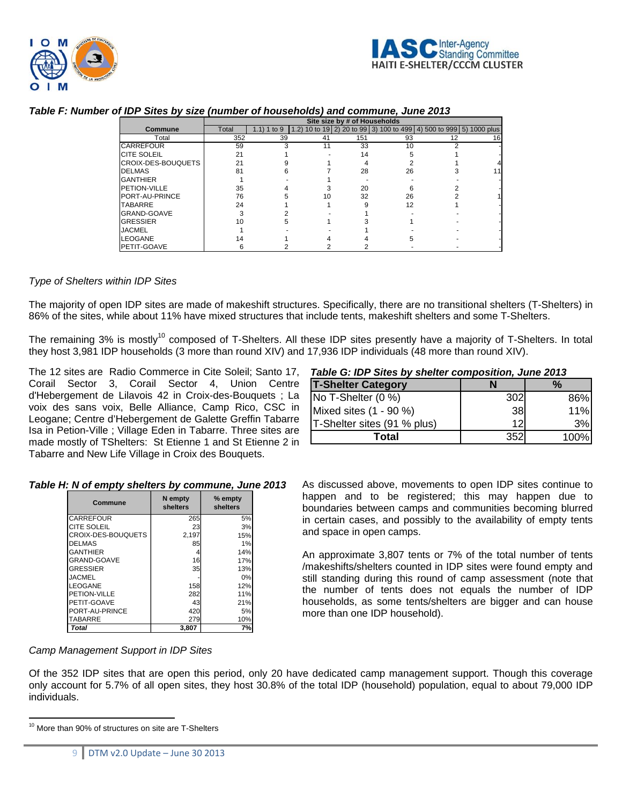



### *Table F: Number of IDP Sites by size (number of households) and commune, June 2013*

|                     |       | Site size by # of Households |    |     |    |                                                                                |    |  |  |  |  |
|---------------------|-------|------------------------------|----|-----|----|--------------------------------------------------------------------------------|----|--|--|--|--|
| Commune             | Total |                              |    |     |    | 1.1) 1 to 9 1.2) 10 to 19 2) 20 to 99 3) 100 to 499 4) 500 to 999 5) 1000 plus |    |  |  |  |  |
| Total               | 352   | 39                           | 41 | 151 | 93 | 12                                                                             | 16 |  |  |  |  |
| <b>CARREFOUR</b>    | 59    | 3                            |    | 33  | 10 |                                                                                |    |  |  |  |  |
| <b>CITE SOLEIL</b>  | 21    |                              |    | 14  |    |                                                                                |    |  |  |  |  |
| CROIX-DES-BOUQUETS  | 21    |                              |    |     |    |                                                                                |    |  |  |  |  |
| <b>DELMAS</b>       | 81    |                              |    | 28  | 26 |                                                                                |    |  |  |  |  |
| <b>GANTHIER</b>     |       |                              |    |     |    |                                                                                |    |  |  |  |  |
| <b>PETION-VILLE</b> | 35    |                              |    | 20  |    |                                                                                |    |  |  |  |  |
| PORT-AU-PRINCE      | 76    |                              | 10 | 32  | 26 |                                                                                |    |  |  |  |  |
| <b>TABARRE</b>      | 24    |                              |    |     | 12 |                                                                                |    |  |  |  |  |
| GRAND-GOAVE         |       |                              |    |     |    |                                                                                |    |  |  |  |  |
| <b>GRESSIER</b>     | 10    |                              |    |     |    |                                                                                |    |  |  |  |  |
| <b>JACMEL</b>       |       |                              |    |     |    |                                                                                |    |  |  |  |  |
| LEOGANE             | 14    |                              |    |     |    |                                                                                |    |  |  |  |  |
| PETIT-GOAVE         | 6     |                              |    |     |    |                                                                                |    |  |  |  |  |

## *Type of Shelters within IDP Sites*

The majority of open IDP sites are made of makeshift structures. Specifically, there are no transitional shelters (T-Shelters) in 86% of the sites, while about 11% have mixed structures that include tents, makeshift shelters and some T-Shelters.

The remaining 3% is mostly<sup>10</sup> composed of T-Shelters. All these IDP sites presently have a majority of T-Shelters. In total they host 3,981 IDP households (3 more than round XIV) and 17,936 IDP individuals (48 more than round XIV).

The 12 sites are Radio Commerce in Cite Soleil; Santo 17, Corail Sector 3, Corail Sector 4, Union Centre d'Hebergement de Lilavois 42 in Croix-des-Bouquets ; La voix des sans voix, Belle Alliance, Camp Rico, CSC in Leogane; Centre d'Hebergement de Galette Greffin Tabarre Isa in Petion-Ville ; Village Eden in Tabarre. Three sites are made mostly of TShelters: St Etienne 1 and St Etienne 2 in Tabarre and New Life Village in Croix des Bouquets.

|  | Table G: IDP Sites by shelter composition, June 2013 |
|--|------------------------------------------------------|
|--|------------------------------------------------------|

| <b>T-Shelter Category</b>   |                  | $\%$ |
|-----------------------------|------------------|------|
| No T-Shelter (0 %)          | 302              | 86%  |
| Mixed sites $(1 - 90 \%)$   | 38               | 11%  |
| T-Shelter sites (91 % plus) | 12               | 3%   |
| Total                       | 352 <sub>l</sub> | 100% |

## *Table H: N of empty shelters by commune, June 2013*

| Commune                   | N empty<br>shelters | % empty<br>shelters |  |  |
|---------------------------|---------------------|---------------------|--|--|
| <b>CARREFOUR</b>          | 265                 | 5%                  |  |  |
| CITE SOLEIL               | 23                  | 3%                  |  |  |
| <b>CROIX-DES-BOUQUETS</b> | 2,197               | 15%                 |  |  |
| <b>DELMAS</b>             | 85                  | 1%                  |  |  |
| <b>GANTHIER</b>           |                     | 14%                 |  |  |
| <b>GRAND-GOAVE</b>        | 16                  | 17%                 |  |  |
| <b>GRESSIER</b>           | 35                  | 13%                 |  |  |
| <b>JACMEL</b>             |                     | 0%                  |  |  |
| LEOGANE                   | 158                 | 12%                 |  |  |
| PETION-VILLE              | 282                 | 11%                 |  |  |
| PETIT-GOAVE               | 43                  | 21%                 |  |  |
| PORT-AU-PRINCE            | 420                 | 5%                  |  |  |
| TABARRE                   | 279                 | 10%                 |  |  |
| Total                     | 3.807               | 7%                  |  |  |

As discussed above, movements to open IDP sites continue to happen and to be registered; this may happen due to boundaries between camps and communities becoming blurred in certain cases, and possibly to the availability of empty tents and space in open camps.

An approximate 3,807 tents or 7% of the total number of tents /makeshifts/shelters counted in IDP sites were found empty and still standing during this round of camp assessment (note that the number of tents does not equals the number of IDP households, as some tents/shelters are bigger and can house more than one IDP household).

### *Camp Management Support in IDP Sites*

Of the 352 IDP sites that are open this period, only 20 have dedicated camp management support. Though this coverage only account for 5.7% of all open sites, they host 30.8% of the total IDP (household) population, equal to about 79,000 IDP individuals.

 $\overline{a}$ <sup>10</sup> More than 90% of structures on site are T-Shelters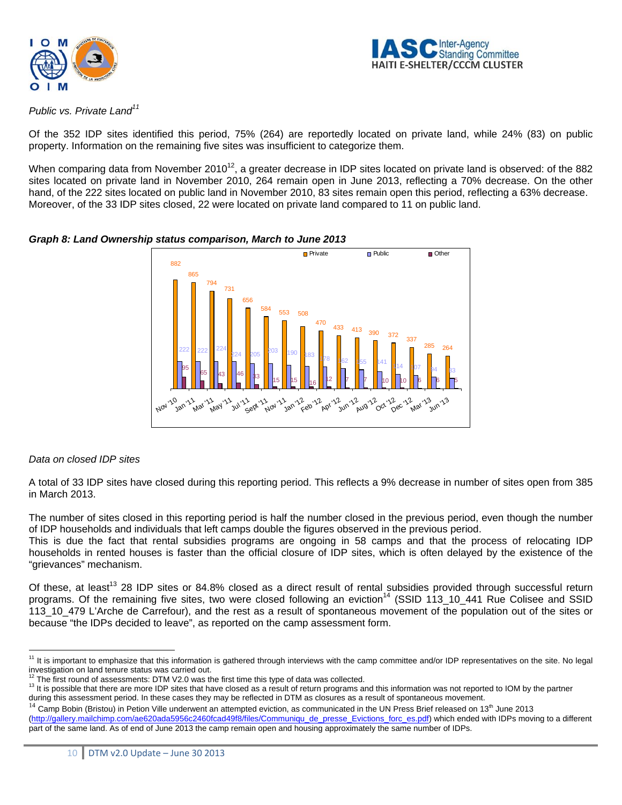



*Public vs. Private Land11*

Of the 352 IDP sites identified this period, 75% (264) are reportedly located on private land, while 24% (83) on public property. Information on the remaining five sites was insufficient to categorize them.

When comparing data from November 2010<sup>12</sup>, a greater decrease in IDP sites located on private land is observed: of the 882 sites located on private land in November 2010, 264 remain open in June 2013, reflecting a 70% decrease. On the other hand, of the 222 sites located on public land in November 2010, 83 sites remain open this period, reflecting a 63% decrease. Moreover, of the 33 IDP sites closed, 22 were located on private land compared to 11 on public land.

*Graph 8: Land Ownership status comparison, March to June 2013* 



# *Data on closed IDP sites*

A total of 33 IDP sites have closed during this reporting period. This reflects a 9% decrease in number of sites open from 385 in March 2013.

The number of sites closed in this reporting period is half the number closed in the previous period, even though the number of IDP households and individuals that left camps double the figures observed in the previous period.

This is due the fact that rental subsidies programs are ongoing in 58 camps and that the process of relocating IDP households in rented houses is faster than the official closure of IDP sites, which is often delayed by the existence of the "grievances" mechanism.

Of these, at least<sup>13</sup> 28 IDP sites or 84.8% closed as a direct result of rental subsidies provided through successful return programs. Of the remaining five sites, two were closed following an eviction<sup>14</sup> (SSID 113\_10\_441 Rue Colisee and SSID 113–10–479 L'Arche de Carrefour), and the rest as a result of spontaneous movement of the population out of the sites or because "the IDPs decided to leave", as reported on the camp assessment form.

 $\overline{a}$ <sup>11</sup> It is important to emphasize that this information is gathered through interviews with the camp committee and/or IDP representatives on the site. No legal investigation on land tenure status was carried out.<br><sup>12</sup> The first round of assessments: DTM V2.0 was the first time this type of data was collected.

<sup>&</sup>lt;sup>13</sup> It is possible that there are more IDP sites that have closed as a result of return programs and this information was not reported to IOM by the partner<br>during this assessment period. In these cases they may be reflec

Camp Bobin (Bristou) in Petion Ville underwent an attempted eviction, as communicated in the UN Press Brief released on 13<sup>th</sup> June 2013

<sup>(</sup>http://gallery.mailchimp.com/ae620ada5956c2460fcad49f8/files/Communiqu\_de\_presse\_Evictions\_forc\_es.pdf) which ended with IDPs moving to a different part of the same land. As of end of June 2013 the camp remain open and housing approximately the same number of IDPs.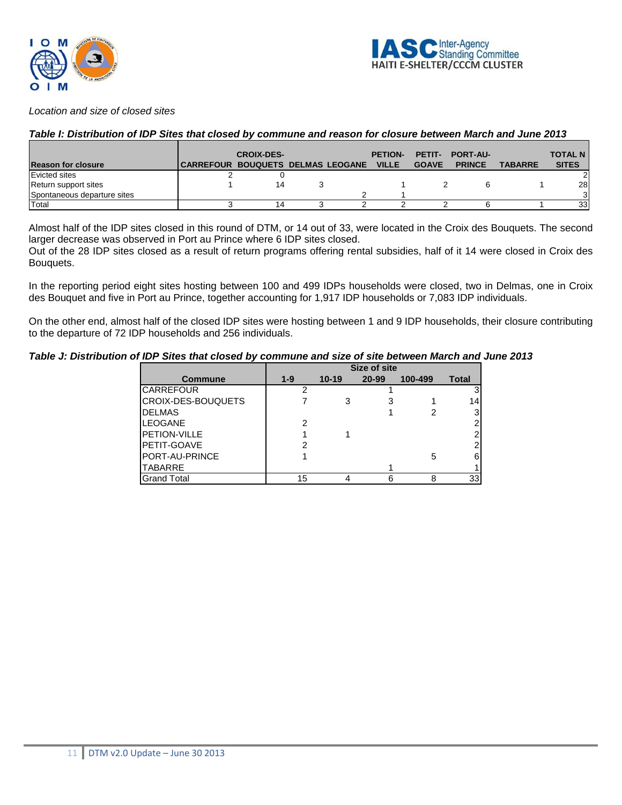



### *Location and size of closed sites*

# *Table I: Distribution of IDP Sites that closed by commune and reason for closure between March and June 2013*

|                             |                                          | <b>CROIX-DES-</b> |  | <b>PETION-</b> | PETIT-       | <b>PORT-AU-</b> |                | <b>TOTAL N</b> |
|-----------------------------|------------------------------------------|-------------------|--|----------------|--------------|-----------------|----------------|----------------|
| <b>Reason for closure</b>   | <b>CARREFOUR BOUQUETS DELMAS LEOGANE</b> |                   |  | <b>VILLE</b>   | <b>GOAVE</b> | <b>PRINCE</b>   | <b>TABARRE</b> | <b>SITES</b>   |
| <b>Evicted sites</b>        |                                          |                   |  |                |              |                 |                |                |
| Return support sites        |                                          | 14                |  |                |              |                 |                | 28             |
| Spontaneous departure sites |                                          |                   |  |                |              |                 |                |                |
| <b>T</b> otal               |                                          | 14                |  |                |              |                 |                | 33             |

Almost half of the IDP sites closed in this round of DTM, or 14 out of 33, were located in the Croix des Bouquets. The second larger decrease was observed in Port au Prince where 6 IDP sites closed.

Out of the 28 IDP sites closed as a result of return programs offering rental subsidies, half of it 14 were closed in Croix des Bouquets.

In the reporting period eight sites hosting between 100 and 499 IDPs households were closed, two in Delmas, one in Croix des Bouquet and five in Port au Prince, together accounting for 1,917 IDP households or 7,083 IDP individuals.

On the other end, almost half of the closed IDP sites were hosting between 1 and 9 IDP households, their closure contributing to the departure of 72 IDP households and 256 individuals.

### *Table J: Distribution of IDP Sites that closed by commune and size of site between March and June 2013*

|                     | Size of site |         |       |         |              |  |  |  |  |
|---------------------|--------------|---------|-------|---------|--------------|--|--|--|--|
| <b>Commune</b>      | $1 - 9$      | $10-19$ | 20-99 | 100-499 | <b>Total</b> |  |  |  |  |
| <b>CARREFOUR</b>    | 2            |         |       |         |              |  |  |  |  |
| ICROIX-DES-BOUQUETS |              |         |       |         | 14           |  |  |  |  |
| <b>DELMAS</b>       |              |         |       |         |              |  |  |  |  |
| <b>LEOGANE</b>      | 2            |         |       |         |              |  |  |  |  |
| <b>PETION-VILLE</b> |              |         |       |         |              |  |  |  |  |
| PETIT-GOAVE         | 2            |         |       |         |              |  |  |  |  |
| PORT-AU-PRINCE      |              |         |       | 5       |              |  |  |  |  |
| <b>TABARRE</b>      |              |         |       |         |              |  |  |  |  |
| <b>Grand Total</b>  | 15           |         | 6     | 8       | 33           |  |  |  |  |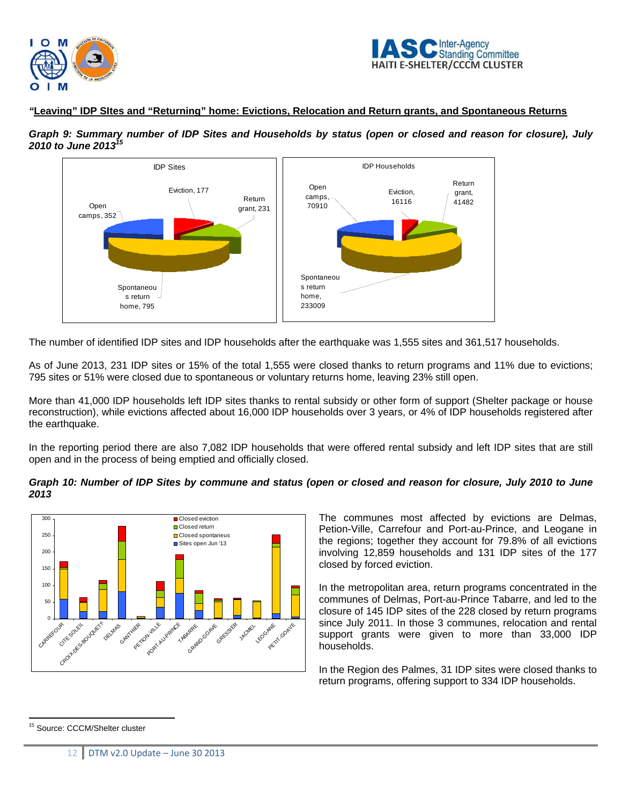



## *"***Leaving" IDP SItes and "Returning" home: Evictions, Relocation and Return grants, and Spontaneous Returns**



*Graph 9: Summary number of IDP Sites and Households by status (open or closed and reason for closure), July 2010 to June 201315*

The number of identified IDP sites and IDP households after the earthquake was 1,555 sites and 361,517 households.

As of June 2013, 231 IDP sites or 15% of the total 1,555 were closed thanks to return programs and 11% due to evictions; 795 sites or 51% were closed due to spontaneous or voluntary returns home, leaving 23% still open.

233009

More than 41,000 IDP households left IDP sites thanks to rental subsidy or other form of support (Shelter package or house reconstruction), while evictions affected about 16,000 IDP households over 3 years, or 4% of IDP households registered after the earthquake.

In the reporting period there are also 7,082 IDP households that were offered rental subsidy and left IDP sites that are still open and in the process of being emptied and officially closed.

### *Graph 10: Number of IDP Sites by commune and status (open or closed and reason for closure, July 2010 to June 2013*



home, 795

The communes most affected by evictions are Delmas, Petion-Ville, Carrefour and Port-au-Prince, and Leogane in the regions; together they account for 79.8% of all evictions involving 12,859 households and 131 IDP sites of the 177 closed by forced eviction.

In the metropolitan area, return programs concentrated in the communes of Delmas, Port-au-Prince Tabarre, and led to the closure of 145 IDP sites of the 228 closed by return programs since July 2011. In those 3 communes, relocation and rental support grants were given to more than 33,000 IDP households.

In the Region des Palmes, 31 IDP sites were closed thanks to return programs, offering support to 334 IDP households.

 $\overline{a}$ 15 Source: CCCM/Shelter cluster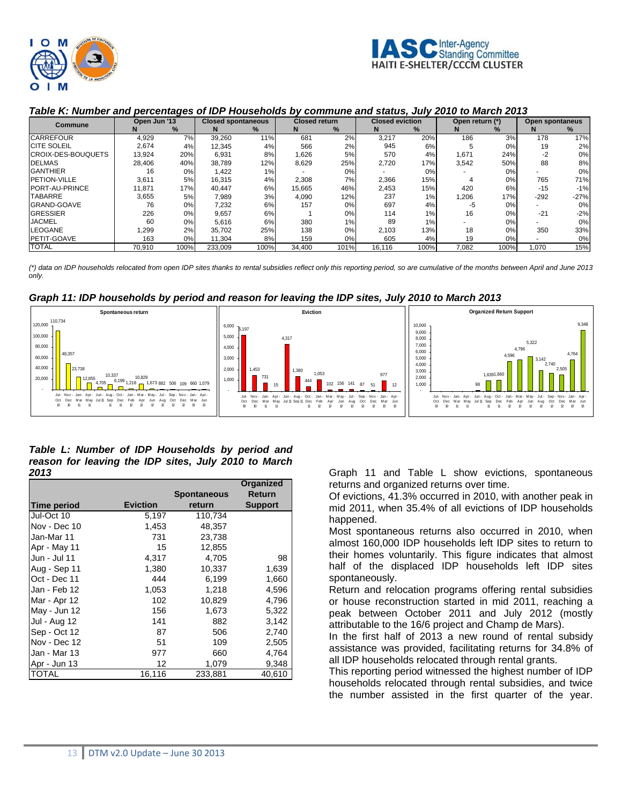

## *Table K: Number and percentages of IDP Households by commune and status, July 2010 to March 2013*

| <b>Commune</b>            | Open Jun '13 |      |         | <b>Closed spontaneous</b> |        | <b>Closed return</b> |        | <b>Closed eviction</b> |       | Open return (*) |        | Open spontaneus |  |
|---------------------------|--------------|------|---------|---------------------------|--------|----------------------|--------|------------------------|-------|-----------------|--------|-----------------|--|
|                           |              | $\%$ |         | %                         | N      | %                    | N      | %                      |       | %               |        | ℅               |  |
| <b>CARREFOUR</b>          | 4.929        | 7%   | 39,260  | 11%                       | 681    | 2%                   | 3,217  | 20%                    | 186   | 3%              | 178    | 17%             |  |
| <b>CITE SOLEIL</b>        | 2.674        | 4%   | 12.345  | 4%                        | 566    | 2%                   | 945    | 6%                     | 5     | 0%              | 19     | 2%              |  |
| <b>CROIX-DES-BOUQUETS</b> | 13,924       | 20%  | 6.931   | 8%                        | 1,626  | 5%                   | 570    | 4%                     | 1.671 | 24%             | $-2$   | 0%              |  |
| <b>DELMAS</b>             | 28.406       | 40%  | 38.789  | 12%                       | 8,629  | 25%                  | 2.720  | 17%                    | 3.542 | 50%             | 88     | 8%              |  |
| <b>GANTHIER</b>           | 16           | 0%   | 1.422   | 1%                        |        | 0%                   |        | 0%                     |       | 0%              |        | $0\%$           |  |
| <b>IPETION-VILLE</b>      | 3,611        | 5%   | 16.315  | 4%                        | 2,308  | 7%                   | 2,366  | 15%                    |       | 0%              | 765    | 71%             |  |
| PORT-AU-PRINCE            | 11.871       | 17%  | 40.447  | 6%                        | 15.665 | 46%                  | 2,453  | 15%                    | 420   | 6%              | $-15$  | $-1%$           |  |
| <b>TABARRE</b>            | 3,655        | 5%   | 7.989   | 3%                        | 4.090  | 12%                  | 237    | 1%                     | 1,206 | 17%             | $-292$ | $-27%$          |  |
| <b>IGRAND-GOAVE</b>       | 76           | 0%   | 7,232   | 6%                        | 157    | 0%                   | 697    | 4%                     | -5    | 0%              |        | 0%              |  |
| <b>GRESSIER</b>           | 226          | 0%   | 9.657   | 6%                        |        | 0%                   | 114    | 1%                     | 16    | 0%              | $-21$  | $-2%$           |  |
| <b>JACMEL</b>             | 60           | 0%   | 5.616   | 6%                        | 380    | 1%                   | 89     | 1%                     |       | 0%              |        | 0%              |  |
| <b>LEOGANE</b>            | ,299         | 2%   | 35.702  | 25%                       | 138    | 0%                   | 2,103  | 13%                    | 18    | 0%              | 350    | 33%             |  |
| <b>IPETIT-GOAVE</b>       | 163          | 0%   | 11.304  | 8%                        | 159    | 0%                   | 605    | 4%                     | 19    | 0%              |        | 0%              |  |
| <b>TOTAL</b>              | 70,910       | 100% | 233,009 | 100%                      | 34.400 | 101%                 | 16.116 | 100%                   | 7.082 | 100%            | 1.070  | 15%             |  |

*(\*) data on IDP households relocated from open IDP sites thanks to rental subsidies reflect only this reporting period, so are cumulative of the months between April and June 2013 only.* 

### *Graph 11: IDP households by period and reason for leaving the IDP sites, July 2010 to March 2013*



#### *Table L: Number of IDP Households by period and reason for leaving the IDP sites, July 2010 to March 2013*

|                    |                 | Organized          |                |
|--------------------|-----------------|--------------------|----------------|
|                    |                 | <b>Spontaneous</b> | Return         |
| <b>Time period</b> | <b>Eviction</b> | return             | <b>Support</b> |
| Jul-Oct 10         | 5,197           | 110,734            |                |
| Nov - Dec 10       | 1,453           | 48.357             |                |
| Jan-Mar 11         | 731             | 23,738             |                |
| Apr - May 11       | 15              | 12,855             |                |
| Jun - Jul 11       | 4,317           | 4,705              | 98             |
| Aug - Sep 11       | 1,380           | 10,337             | 1,639          |
| Oct - Dec 11       | 444             | 6.199              | 1,660          |
| Jan - Feb 12       | 1,053           | 1,218              | 4,596          |
| Mar - Apr 12       | 102             | 10,829             | 4,796          |
| May - Jun 12       | 156             | 1,673              | 5,322          |
| Jul - Aug 12       | 141             | 882                | 3,142          |
| Sep - Oct 12       | 87              | 506                | 2,740          |
| Nov - Dec 12       | 51              | 109                | 2,505          |
| Jan - Mar 13       | 977             | 660                | 4,764          |
| Apr - Jun 13       | 12              | 1,079              | 9,348          |
| <b>TOTAL</b>       | 16.116          | 233.881            | 40.610         |

Graph 11 and Table L show evictions, spontaneous returns and organized returns over time.

Of evictions, 41.3% occurred in 2010, with another peak in mid 2011, when 35.4% of all evictions of IDP households happened.

Most spontaneous returns also occurred in 2010, when almost 160,000 IDP households left IDP sites to return to their homes voluntarily. This figure indicates that almost half of the displaced IDP households left IDP sites spontaneously.

Return and relocation programs offering rental subsidies or house reconstruction started in mid 2011, reaching a peak between October 2011 and July 2012 (mostly attributable to the 16/6 project and Champ de Mars).

In the first half of 2013 a new round of rental subsidy assistance was provided, facilitating returns for 34.8% of all IDP households relocated through rental grants.

This reporting period witnessed the highest number of IDP households relocated through rental subsidies, and twice the number assisted in the first quarter of the year.